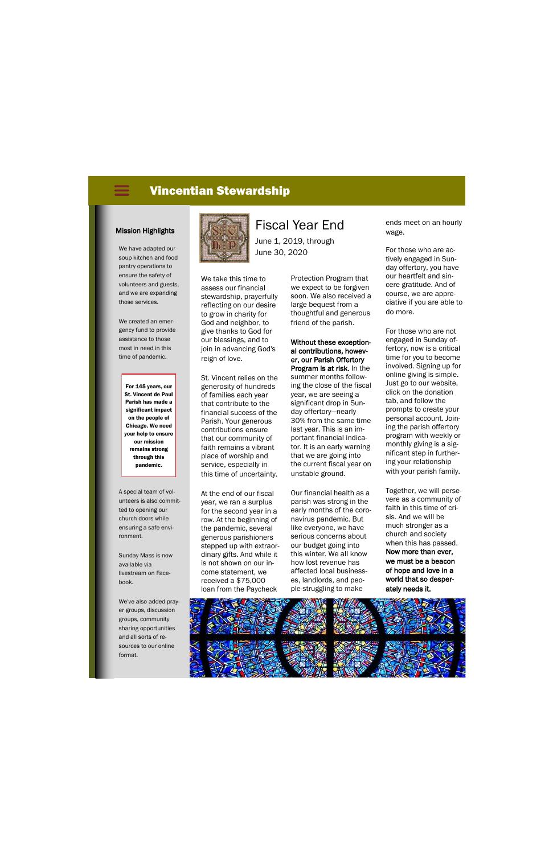## Vincentian Stewardship

We have adapted our soup kitchen and food pantry operations to ensure the safety of volunteers and guests, and we are expanding those services.

We created an emergency fund to provide assistance to those most in need in this time of pandemic.

A special team of volunteers is also committed to opening our church doors while ensuring a safe environment.

Sunday Mass is now available via livestream on Facebook.

We've also added prayer groups, discussion groups, community sharing opportunities and all sorts of resources to our online format.



# Mission Highlights **All Antistic Addressing Highlights**

For 145 years, our St. Vincent de Paul Parish has made a significant impact on the people of Chicago. We need your help to ensure our mission remains strong through this pandemic.

June 1, 2019, through June 30, 2020

We take this time to assess our financial stewardship, prayerfully reflecting on our desire to grow in charity for God and neighbor, to give thanks to God for our blessings, and to join in advancing God's reign of love.

St. Vincent relies on the generosity of hundreds of families each year that contribute to the financial success of the Parish. Your generous contributions ensure that our community of faith remains a vibrant place of worship and service, especially in this time of uncertainty.

At the end of our fiscal year, we ran a surplus for the second year in a row. At the beginning of the pandemic, several generous parishioners stepped up with extraordinary gifts. And while it is not shown on our income statement, we received a \$75,000 loan from the Paycheck

Protection Program that we expect to be forgiven soon. We also received a large bequest from a thoughtful and generous friend of the parish.

Without these exceptional contributions, however, our Parish Offertory Program is at risk. In the summer months following the close of the fiscal year, we are seeing a significant drop in Sunday offertory—nearly 30% from the same time last year. This is an important financial indicator. It is an early warning that we are going into the current fiscal year on unstable ground.

Our financial health as a parish was strong in the early months of the coronavirus pandemic. But like everyone, we have serious concerns about our budget going into this winter. We all know how lost revenue has affected local businesses, landlords, and people struggling to make

ends meet on an hourly wage.

For those who are actively engaged in Sunday offertory, you have our heartfelt and sincere gratitude. And of course, we are appreciative if you are able to do more.

For those who are not engaged in Sunday offertory, now is a critical time for you to become involved. Signing up for online giving is simple. Just go to our website, click on the donation tab, and follow the prompts to create your personal account. Joining the parish offertory program with weekly or monthly giving is a significant step in furthering your relationship with your parish family.

Together, we will persevere as a community of faith in this time of crisis. And we will be much stronger as a church and society when this has passed. Now more than ever, we must be a beacon of hope and love in a world that so desperately needs it.